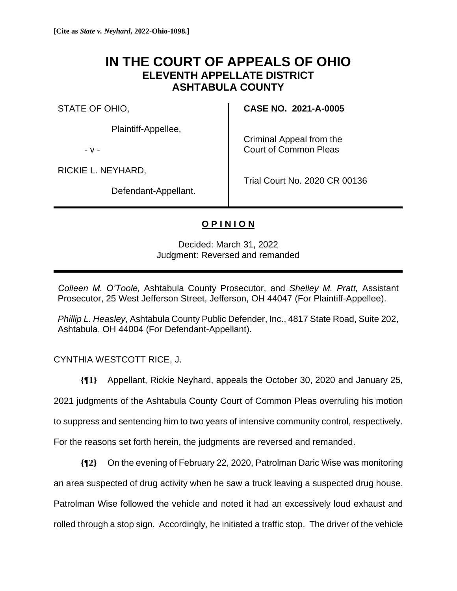## **IN THE COURT OF APPEALS OF OHIO ELEVENTH APPELLATE DISTRICT ASHTABULA COUNTY**

STATE OF OHIO,

Plaintiff-Appellee,

- v -

Criminal Appeal from the Court of Common Pleas

RICKIE L. NEYHARD,

Defendant-Appellant.

Trial Court No. 2020 CR 00136

**CASE NO. 2021-A-0005**

## **O P I N I O N**

Decided: March 31, 2022 Judgment: Reversed and remanded

*Colleen M. O'Toole,* Ashtabula County Prosecutor, and *Shelley M. Pratt,* Assistant Prosecutor, 25 West Jefferson Street, Jefferson, OH 44047 (For Plaintiff-Appellee).

*Phillip L. Heasley*, Ashtabula County Public Defender, Inc., 4817 State Road, Suite 202, Ashtabula, OH 44004 (For Defendant-Appellant).

CYNTHIA WESTCOTT RICE, J.

**{¶1}** Appellant, Rickie Neyhard, appeals the October 30, 2020 and January 25,

2021 judgments of the Ashtabula County Court of Common Pleas overruling his motion

to suppress and sentencing him to two years of intensive community control, respectively.

For the reasons set forth herein, the judgments are reversed and remanded.

**{¶2}** On the evening of February 22, 2020, Patrolman Daric Wise was monitoring

an area suspected of drug activity when he saw a truck leaving a suspected drug house.

Patrolman Wise followed the vehicle and noted it had an excessively loud exhaust and

rolled through a stop sign. Accordingly, he initiated a traffic stop. The driver of the vehicle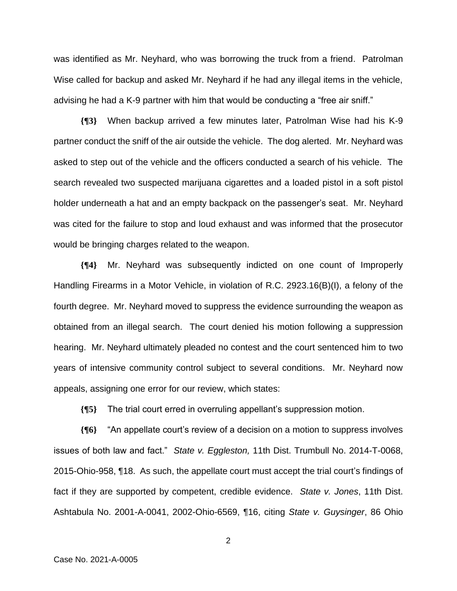was identified as Mr. Neyhard, who was borrowing the truck from a friend. Patrolman Wise called for backup and asked Mr. Neyhard if he had any illegal items in the vehicle, advising he had a K-9 partner with him that would be conducting a "free air sniff."

**{¶3}** When backup arrived a few minutes later, Patrolman Wise had his K-9 partner conduct the sniff of the air outside the vehicle. The dog alerted. Mr. Neyhard was asked to step out of the vehicle and the officers conducted a search of his vehicle. The search revealed two suspected marijuana cigarettes and a loaded pistol in a soft pistol holder underneath a hat and an empty backpack on the passenger's seat. Mr. Neyhard was cited for the failure to stop and loud exhaust and was informed that the prosecutor would be bringing charges related to the weapon.

**{¶4}** Mr. Neyhard was subsequently indicted on one count of Improperly Handling Firearms in a Motor Vehicle, in violation of R.C. 2923.16(B)(I), a felony of the fourth degree. Mr. Neyhard moved to suppress the evidence surrounding the weapon as obtained from an illegal search. The court denied his motion following a suppression hearing. Mr. Neyhard ultimately pleaded no contest and the court sentenced him to two years of intensive community control subject to several conditions. Mr. Neyhard now appeals, assigning one error for our review, which states:

**{¶5}** The trial court erred in overruling appellant's suppression motion.

**{¶6}** "An appellate court's review of a decision on a motion to suppress involves issues of both law and fact." *State v. Eggleston,* 11th Dist. Trumbull No. 2014-T-0068, 2015-Ohio-958, ¶18. As such, the appellate court must accept the trial court's findings of fact if they are supported by competent, credible evidence. *State v. Jones*, 11th Dist. Ashtabula No. 2001-A-0041, 2002-Ohio-6569, ¶16, citing *State v. Guysinger*, 86 Ohio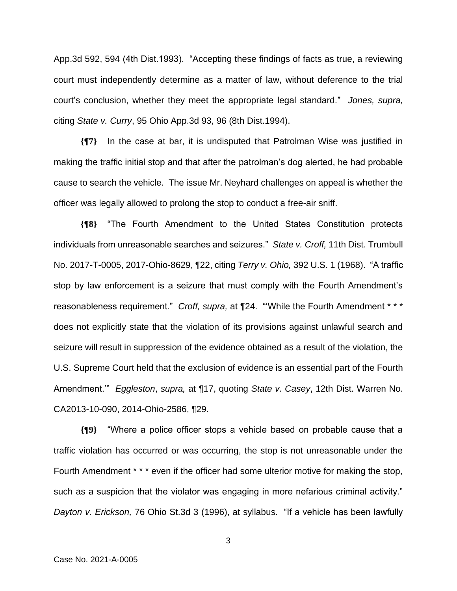App.3d 592, 594 (4th Dist.1993). "Accepting these findings of facts as true, a reviewing court must independently determine as a matter of law, without deference to the trial court's conclusion, whether they meet the appropriate legal standard." *Jones, supra,*  citing *State v. Curry*, 95 Ohio App.3d 93, 96 (8th Dist.1994).

**{¶7}** In the case at bar, it is undisputed that Patrolman Wise was justified in making the traffic initial stop and that after the patrolman's dog alerted, he had probable cause to search the vehicle. The issue Mr. Neyhard challenges on appeal is whether the officer was legally allowed to prolong the stop to conduct a free-air sniff.

**{¶8}** "The Fourth Amendment to the United States Constitution protects individuals from unreasonable searches and seizures." *State v. Croff,* 11th Dist. Trumbull No. 2017-T-0005, 2017-Ohio-8629, ¶22, citing *Terry v. Ohio,* 392 U.S. 1 (1968). "A traffic stop by law enforcement is a seizure that must comply with the Fourth Amendment's reasonableness requirement." *Croff, supra,* at ¶24. "'While the Fourth Amendment \* \* \* does not explicitly state that the violation of its provisions against unlawful search and seizure will result in suppression of the evidence obtained as a result of the violation, the U.S. Supreme Court held that the exclusion of evidence is an essential part of the Fourth Amendment.'" *Eggleston*, *supra,* at ¶17, quoting *State v. Casey*, 12th Dist. Warren No. CA2013-10-090, 2014-Ohio-2586, ¶29.

**{¶9}** "Where a police officer stops a vehicle based on probable cause that a traffic violation has occurred or was occurring, the stop is not unreasonable under the Fourth Amendment \* \* \* even if the officer had some ulterior motive for making the stop, such as a suspicion that the violator was engaging in more nefarious criminal activity." *Dayton v. Erickson,* 76 Ohio St.3d 3 (1996), at syllabus. "If a vehicle has been lawfully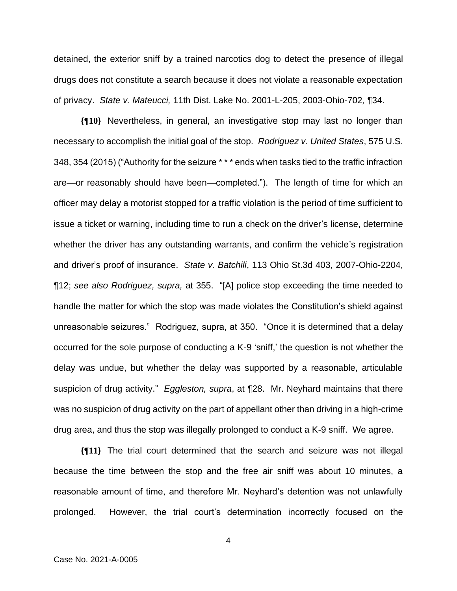detained, the exterior sniff by a trained narcotics dog to detect the presence of illegal drugs does not constitute a search because it does not violate a reasonable expectation of privacy. *State v. Mateucci,* 11th Dist. Lake No. 2001-L-205, 2003-Ohio-702*,* ¶34.

**{¶10}** Nevertheless, in general, an investigative stop may last no longer than necessary to accomplish the initial goal of the stop. *Rodriguez v. United States*, 575 U.S. 348, 354 (2015) ("Authority for the seizure \* \* \* ends when tasks tied to the traffic infraction are—or reasonably should have been—completed."). The length of time for which an officer may delay a motorist stopped for a traffic violation is the period of time sufficient to issue a ticket or warning, including time to run a check on the driver's license, determine whether the driver has any outstanding warrants, and confirm the vehicle's registration and driver's proof of insurance. *State v. Batchili*, 113 Ohio St.3d 403, 2007-Ohio-2204, ¶12; *see also Rodriguez, supra,* at 355. "[A] police stop exceeding the time needed to handle the matter for which the stop was made violates the Constitution's shield against unreasonable seizures." Rodriguez, supra, at 350. "Once it is determined that a delay occurred for the sole purpose of conducting a K-9 'sniff,' the question is not whether the delay was undue, but whether the delay was supported by a reasonable, articulable suspicion of drug activity." *Eggleston, supra*, at ¶28. Mr. Neyhard maintains that there was no suspicion of drug activity on the part of appellant other than driving in a high-crime drug area, and thus the stop was illegally prolonged to conduct a K-9 sniff. We agree.

**{¶11}** The trial court determined that the search and seizure was not illegal because the time between the stop and the free air sniff was about 10 minutes, a reasonable amount of time, and therefore Mr. Neyhard's detention was not unlawfully prolonged. However, the trial court's determination incorrectly focused on the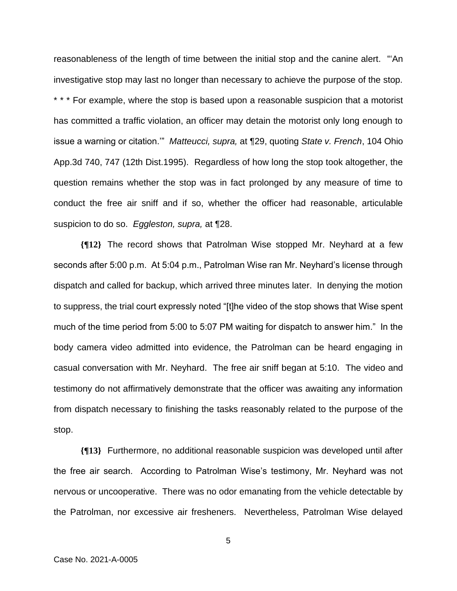reasonableness of the length of time between the initial stop and the canine alert. "'An investigative stop may last no longer than necessary to achieve the purpose of the stop. \* \* \* For example, where the stop is based upon a reasonable suspicion that a motorist has committed a traffic violation, an officer may detain the motorist only long enough to issue a warning or citation.'" *Matteucci, supra,* at ¶29, quoting *State v. French*, 104 Ohio App.3d 740, 747 (12th Dist.1995). Regardless of how long the stop took altogether, the question remains whether the stop was in fact prolonged by any measure of time to conduct the free air sniff and if so, whether the officer had reasonable, articulable suspicion to do so. *Eggleston, supra,* at ¶28.

**{¶12}** The record shows that Patrolman Wise stopped Mr. Neyhard at a few seconds after 5:00 p.m. At 5:04 p.m., Patrolman Wise ran Mr. Neyhard's license through dispatch and called for backup, which arrived three minutes later. In denying the motion to suppress, the trial court expressly noted "[t]he video of the stop shows that Wise spent much of the time period from 5:00 to 5:07 PM waiting for dispatch to answer him." In the body camera video admitted into evidence, the Patrolman can be heard engaging in casual conversation with Mr. Neyhard. The free air sniff began at 5:10. The video and testimony do not affirmatively demonstrate that the officer was awaiting any information from dispatch necessary to finishing the tasks reasonably related to the purpose of the stop.

**{¶13}** Furthermore, no additional reasonable suspicion was developed until after the free air search. According to Patrolman Wise's testimony, Mr. Neyhard was not nervous or uncooperative. There was no odor emanating from the vehicle detectable by the Patrolman, nor excessive air fresheners. Nevertheless, Patrolman Wise delayed